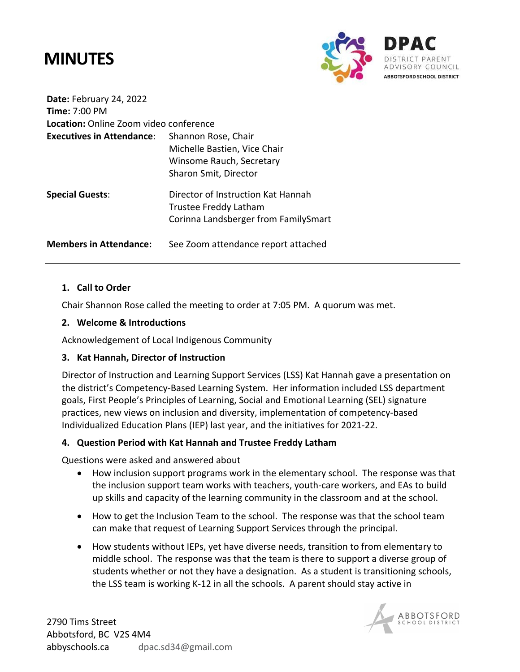## **MINUTES**



**Date:** February 24, 2022 **Time:** 7:00 PM **Location:** Online Zoom video conference **Executives in Attendance**: Shannon Rose, Chair Michelle Bastien, Vice Chair Winsome Rauch, Secretary Sharon Smit, Director **Special Guests**: Director of Instruction Kat Hannah Trustee Freddy Latham Corinna Landsberger from FamilySmart

**Members in Attendance:** See Zoom attendance report attached

## **1. Call to Order**

Chair Shannon Rose called the meeting to order at 7:05 PM. A quorum was met.

## **2. Welcome & Introductions**

Acknowledgement of Local Indigenous Community

## **3. Kat Hannah, Director of Instruction**

Director of Instruction and Learning Support Services (LSS) Kat Hannah gave a presentation on the district's Competency-Based Learning System. Her information included LSS department goals, First People's Principles of Learning, Social and Emotional Learning (SEL) signature practices, new views on inclusion and diversity, implementation of competency-based Individualized Education Plans (IEP) last year, and the initiatives for 2021-22.

## **4. Question Period with Kat Hannah and Trustee Freddy Latham**

Questions were asked and answered about

- How inclusion support programs work in the elementary school. The response was that the inclusion support team works with teachers, youth-care workers, and EAs to build up skills and capacity of the learning community in the classroom and at the school.
- How to get the Inclusion Team to the school. The response was that the school team can make that request of Learning Support Services through the principal.
- How students without IEPs, yet have diverse needs, transition to from elementary to middle school. The response was that the team is there to support a diverse group of students whether or not they have a designation. As a student is transitioning schools, the LSS team is working K-12 in all the schools. A parent should stay active in

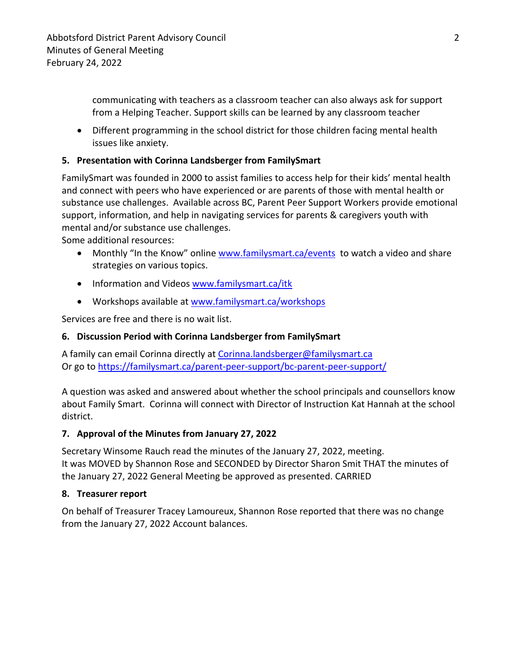communicating with teachers as a classroom teacher can also always ask for support from a Helping Teacher. Support skills can be learned by any classroom teacher

• Different programming in the school district for those children facing mental health issues like anxiety.

## **5. Presentation with Corinna Landsberger from FamilySmart**

FamilySmart was founded in 2000 to assist families to access help for their kids' mental health and connect with peers who have experienced or are parents of those with mental health or substance use challenges. Available across BC, Parent Peer Support Workers provide emotional support, information, and help in navigating services for parents & caregivers youth with mental and/or substance use challenges.

Some additional resources:

- Monthly "In the Know" online www.familysmart.ca/events to watch a video and share strategies on various topics.
- Information and Videos www.familysmart.ca/itk
- Workshops available at www.familysmart.ca/workshops

Services are free and there is no wait list.

## **6. Discussion Period with Corinna Landsberger from FamilySmart**

A family can email Corinna directly at Corinna.landsberger@familysmart.ca Or go to https://familysmart.ca/parent-peer-support/bc-parent-peer-support/

A question was asked and answered about whether the school principals and counsellors know about Family Smart. Corinna will connect with Director of Instruction Kat Hannah at the school district.

## **7. Approval of the Minutes from January 27, 2022**

Secretary Winsome Rauch read the minutes of the January 27, 2022, meeting. It was MOVED by Shannon Rose and SECONDED by Director Sharon Smit THAT the minutes of the January 27, 2022 General Meeting be approved as presented. CARRIED

## **8. Treasurer report**

On behalf of Treasurer Tracey Lamoureux, Shannon Rose reported that there was no change from the January 27, 2022 Account balances.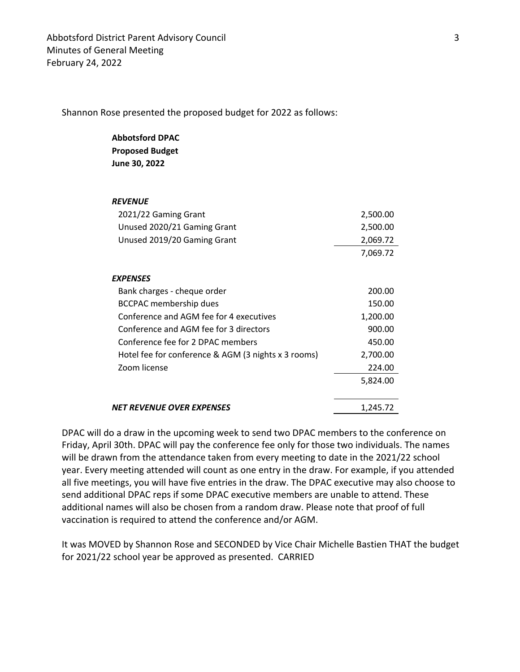Shannon Rose presented the proposed budget for 2022 as follows:

#### **Abbotsford DPAC Proposed Budget**

**June 30, 2022**

#### *REVENUE*

| 2021/22 Gaming Grant                                | 2,500.00 |
|-----------------------------------------------------|----------|
| Unused 2020/21 Gaming Grant                         | 2,500.00 |
| Unused 2019/20 Gaming Grant                         | 2,069.72 |
|                                                     | 7,069.72 |
|                                                     |          |
| <b>EXPENSES</b>                                     |          |
| Bank charges - cheque order                         | 200.00   |
| <b>BCCPAC</b> membership dues                       | 150.00   |
| Conference and AGM fee for 4 executives             | 1,200.00 |
| Conference and AGM fee for 3 directors              | 900.00   |
| Conference fee for 2 DPAC members                   | 450.00   |
| Hotel fee for conference & AGM (3 nights x 3 rooms) | 2,700.00 |
| Zoom license                                        | 224.00   |
|                                                     | 5,824.00 |
| <b>NET REVENUE OVER EXPENSES</b>                    | 1,245.72 |

DPAC will do a draw in the upcoming week to send two DPAC members to the conference on Friday, April 30th. DPAC will pay the conference fee only for those two individuals. The names will be drawn from the attendance taken from every meeting to date in the 2021/22 school year. Every meeting attended will count as one entry in the draw. For example, if you attended all five meetings, you will have five entries in the draw. The DPAC executive may also choose to send additional DPAC reps if some DPAC executive members are unable to attend. These additional names will also be chosen from a random draw. Please note that proof of full vaccination is required to attend the conference and/or AGM.

It was MOVED by Shannon Rose and SECONDED by Vice Chair Michelle Bastien THAT the budget for 2021/22 school year be approved as presented. CARRIED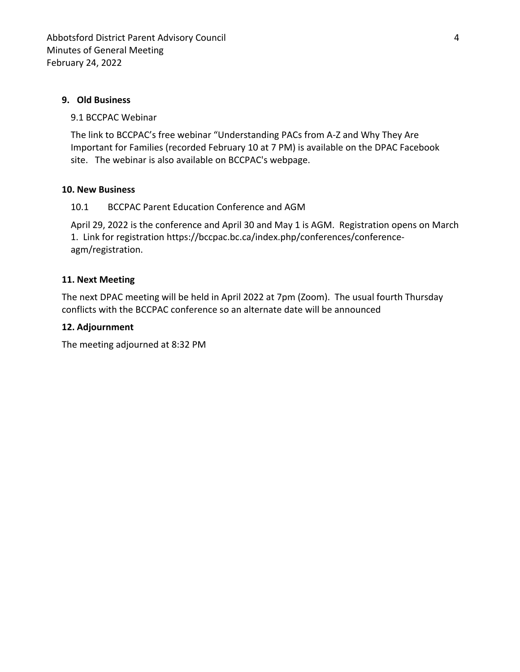### **9. Old Business**

#### 9.1 BCCPAC Webinar

The link to BCCPAC's free webinar "Understanding PACs from A-Z and Why They Are Important for Families (recorded February 10 at 7 PM) is available on the DPAC Facebook site. The webinar is also available on BCCPAC's webpage.

## **10. New Business**

## 10.1 BCCPAC Parent Education Conference and AGM

April 29, 2022 is the conference and April 30 and May 1 is AGM. Registration opens on March 1. Link for registration https://bccpac.bc.ca/index.php/conferences/conferenceagm/registration.

## **11. Next Meeting**

The next DPAC meeting will be held in April 2022 at 7pm (Zoom). The usual fourth Thursday conflicts with the BCCPAC conference so an alternate date will be announced

#### **12. Adjournment**

The meeting adjourned at 8:32 PM